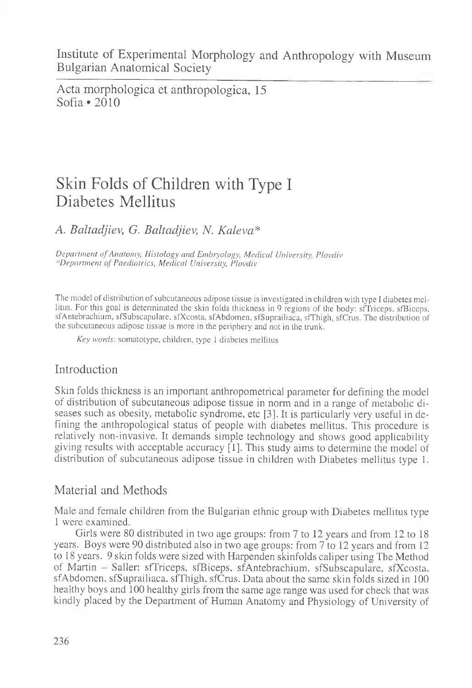Institute of Experimental Morphology and Anthropology with Museum Bulgarian Anatomical Society

Acta morphologica et anthropologica, 15 Sofia  $\cdot$  2010

# Skin Folds of Children with Type I Diabetes Mellitus

A. *Baltadjiev, G. Baltadjiev, N. Kalevci\**

*Department of Anatomy, Histology and Embiyology, Medical University, Plovdiv '•'Department of Paediatrics, Medical University, Plovdiv*

The model of distribution of subcutaneous adipose tissue is investigated in children with type 1 diabetes mellitus. For this goal is determinated the skin folds thickness in 9 regions of the body: sfTriceps, sfBiceps, sfAntebrachium, sfSubscapulare, sfXcosta, sfAbdomen, sfSuprailiaca, sfThigh, sfCrus. The distribution of the subcutaneous adipose tissue is more in the periphery and not in the trunk.

*Key words:* somatotype, children, type 1 diabetes mellitus

# Introduction

Skin folds thickness is an important anthropometrical parameter for defining the model of distribution of subcutaneous adipose tissue in norm and in a range of metabolic diseases such as obesity, metabolic syndrome, etc [3]. It is particularly very useful in defining the anthropological status of people with diabetes mellitus. This procedure is relatively non-invasive. It demands simple technology and shows good applicability giving results with acceptable accuracy [1]. This study aims to determine the model of distribution of subcutaneous adipose tissue in children with Diabetes mellitus type 1.

# Material and Methods

Male and female children from the Bulgarian ethnic group with Diabetes mellitus type 1 were examined.

Girls were 80 distributed in two age groups: from 7 to 12 years and from 12 to 18 years. Boys were 90 distributed also in two age groups: from 7 to 12 years and from 12 to 18 years. 9 skin folds were sized with Harpenden skinfolds caliper using The Method of Martin - Sailer: sfTriceps, sfBiceps, sfAntebrachium, sfSubscapulare, sfXcosta, sfAbdomen. sfSuprailiaca, sfThigh. sfCrus. Data about the same skin folds sized in 100 healthy boys and 100 healthy girls from the same age range was used for check that was kindly placed by the Department of Human Anatomy and Physiology of University of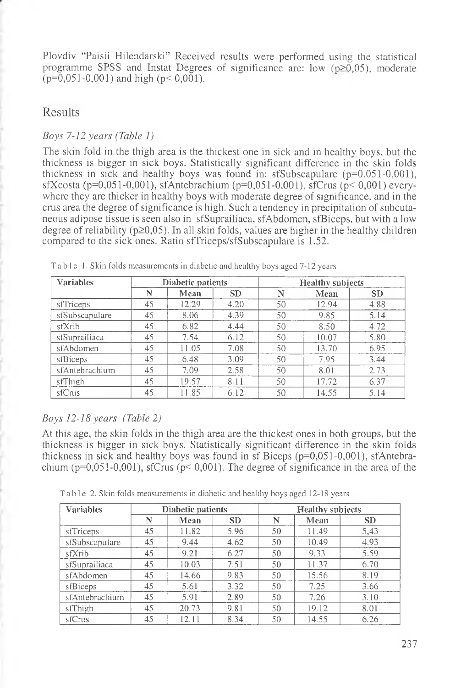Plovdiv "Paisii Hilendarski" Received results were performed using the statistical programme SPSS and Instat Degrees of significance are: low  $(p\geq 0.05)$ , moderate  $(p=0.051-0.001)$  and high  $(p<0.001)$ .

# Results

#### *Boys 7-12 years (Table 1)*

The skin fold in the thigh area is the thickest one in sick and in healthy boys, but the thickness is bigger in sick boys. Statistically significant difference in the skin folds thickness in sick and healthy boys was found in: sfSubscapulare ( $p=0.051-0.001$ ), sfXcosta (p=0,051-0,001), sfAntebrachium (p=0,051-0,001), sfCrus (p< 0,001) everywhere they are thicker in healthy boys with moderate degree of significance, and in the crus area the degree of significance is high. Such a tendency in precipitation of subcutaneous adipose tissue is seen also in sfSuprailiaca, sfAbdomen, sfBiceps, but with a low degree of reliability ( $p\geq 0,05$ ). In all skin folds, values are higher in the healthy children compared to the sick ones. Ratio sfTriceps/sfSubscapulare is 1.52.

| <b>Variables</b> | Diabetic patients |       |           | <b>Healthy subjects</b> |       |           |  |
|------------------|-------------------|-------|-----------|-------------------------|-------|-----------|--|
|                  | N                 | Mean  | <b>SD</b> | N                       | Mean  | <b>SD</b> |  |
| stTriceps        | 45                | 12.29 | 4.20      | 50                      | 12.94 | 4.88      |  |
| sfSubscapulare   | 45                | 8.06  | 4.39      | 50                      | 9.85  | 5.14      |  |
| stXrib           | 45                | 6.82  | 4.44      | 50                      | 8.50  | 4.72      |  |
| sfSuprailiaca    | 45                | 7.54  | 6.12      | 50                      | 10.07 | 5.80      |  |
| sfAbdomen        | 45                | 11.05 | 7.08      | 50                      | 13.70 | 6.95      |  |
| sfBiceps         | 45                | 6.48  | 3.09      | 50                      | 7.95  | 3.44      |  |
| sfAntebrachium   | 45                | 7.09  | 2.58      | 50                      | 8.01  | 2.73      |  |
| sfThigh          | 45                | 19.57 | 8.11      | 50                      | 17.72 | 6.37      |  |
| siCrus           | 45                | 11.85 | 6.12      | 50                      | 14.55 | 5.14      |  |

Table 1. Skin folds measurements in diabetic and healthy boys aged 7-12 years

#### *Boys 12-18 years (Table 2)*

At this age, the skin folds in the thigh area are the thickest ones in both groups, but the thickness is bigger in sick boys. Statistically significant difference in the skin folds thickness in sick and healthy boys was found in sf Biceps  $(p=0.051-0.001)$ , sfAntebrachium ( $p=0,051-0,001$ ), sfCrus ( $p<0,001$ ). The degree of significance in the area of the

Table 2. Skin folds measurements in diabetic and healthy boys aged 12-18 years

| <b>Variables</b> | Diabetic patients |       |           | <b>Healthy subjects</b> |       |           |  |
|------------------|-------------------|-------|-----------|-------------------------|-------|-----------|--|
|                  | N                 | Mean  | <b>SD</b> | N                       | Mean  | <b>SD</b> |  |
| sfTriceps        | 45                | 11.82 | 5.96      | 50                      | 11.49 | 5.43      |  |
| sfSubscapulare   | 45                | 9.44  | 4.62      | 50                      | 10.49 | 4.93      |  |
| sfXrib           | 45                | 9.21  | 6.27      | 50                      | 9.33  | 5.59      |  |
| sfSuprailiaca    | 45                | 10.03 | 7.51      | 50                      | 11.37 | 6.70      |  |
| sfAbdomen        | 45                | 14.66 | 9.83      | 50                      | 15.56 | 8.19      |  |
| sfBiceps         | 45                | 5.61  | 3.32      | 50                      | 7.25  | 3.66      |  |
| sfAntebrachium   | 45                | 5.91  | 2.89      | 50                      | 7.26  | 3.10      |  |
| sfThigh          | 45                | 20.73 | 9.81      | 50                      | 19.12 | 8.01      |  |
| sfCrus           | 45                | 12.11 | 8.34      | 50                      | 14.55 | 6.26      |  |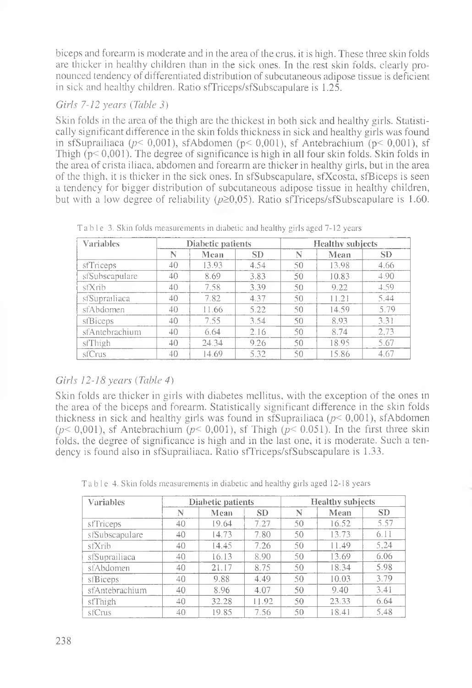biceps and forearm is moderate and in the area of the crus, it is high. These three skin folds are thicker in healthy children than in the sick ones. In the rest skin folds, clearly pronounced tendency of differentiated distribution of subcutaneous adipose tissue is deficient in sick and healthy children. Ratio sfTriceps/sfSubscapulare is 1.25.

### *Girls 7-12 years (Table* 3)

Skin folds in the area of the thigh are the thickest in both sick and healthy girls. Statistically significant difference in the skin folds thickness in sick and healthy girls was found in sfSuprailiaca ( $p$ < 0,001), sfAbdomen ( $p$ < 0,001), sf Antebrachium ( $p$ < 0,001), sf Thigh  $(p< 0.001)$ . The degree of significance is high in all four skin folds. Skin folds in the area of crista iliaca, abdomen and forearm are thicker in healthy girls, but in the area of the thigh, it is thicker in the sick ones. In sfSubscapulare, sfXcosta, sfBiceps is seen a tendency for bigger distribution of subcutaneous adipose tissue in healthy children, but with a low degree of reliability ( $p\geq 0.05$ ). Ratio sfTriceps/sfSubscapulare is 1.60.

| <b>Variables</b> | Diabetic patients |       |           | <b>Healthy subjects</b> |       |           |  |
|------------------|-------------------|-------|-----------|-------------------------|-------|-----------|--|
|                  | N                 | Mean  | <b>SD</b> | N                       | Mean  | <b>SD</b> |  |
| stTriceps        | 40                | 13.93 | 4.54      | 50                      | 13.98 | 4.66      |  |
| sfSubscapulare   | 40                | 8.69  | 3.83      | 50                      | 10.83 | 4.90      |  |
| sfXrib           | 40                | 7.58  | 3.39      | 50                      | 9.22  | 4.59      |  |
| siSuprailiaca    | 40                | 7.82  | 4.37      | 50                      | 11.21 | 5.44      |  |
| sfAbdomen        | 40                | 11.66 | 5.22      | 50                      | 14.59 | 5.79      |  |
| stBiceps         | 40                | 7.55  | 3.54      | 50                      | 8.93  | 3.31      |  |
| sfAntebrachium   | 40                | 6.64  | 2.16      | 50                      | 8.74  | 2.73      |  |
| sfThigh          | 40                | 24.34 | 9.26      | 50                      | 18.95 | 5.67      |  |
| sfCrus           | 40                | 14.69 | 5.32      | 50                      | 15.86 | 4.67      |  |

Table 3. Skin folds measurements in diabetic and healthy girls aged 7-12 years

# *Girls 12-18 years (Table 4)*

Skin folds are thicker in girls with diabetes mellitus, with the exception of the ones in the area of the biceps and forearm. Statistically significant difference in the skin folds thickness in sick and healthy girls was found in sfSuprailiaca *(p<* 0,001), sfAbdomen  $(p< 0.001)$ , sf Antebrachium  $(p< 0.001)$ , sf Thigh  $(p< 0.051)$ . In the first three skin folds, the degree of significance is high and in the last one, it is moderate. Such a tendency is found also in sfSuprailiaca. Ratio sfTriceps/sfSubscapulare is 1.33.

| <b>Variables</b> | Diabetic patients |       |           | <b>Healthy subjects</b> |       |                 |
|------------------|-------------------|-------|-----------|-------------------------|-------|-----------------|
|                  | N                 | Mean  | <b>SD</b> | N                       | Mean  | SD <sub>1</sub> |
| sfTriceps        | 40                | 19.64 | 7.27      | 50                      | 16.52 | 5.57            |
| sfSubscapulare   | 40                | 14.73 | 7.80      | 50                      | 13.73 | 6.11            |
| sfXrib           | 40                | 14.45 | 7.26      | 50                      | 11.49 | 5,24            |
| sfSuprailiaca    | 40                | 16.13 | 8.90      | 50                      | 13.69 | 6.06            |
| sfAbdomen        | 40                | 21.17 | 8.75      | 50                      | 18.34 | 5.98            |
| siBiceps         | 40                | 9.88  | 4.49      | 50                      | 10.03 | 3.79            |
| sfAntebrachium   | 40                | 8.96  | 4.07      | 50                      | 9.40  | 3.41            |
| sfThigh          | 40                | 32.28 | 11.92     | 50                      | 23.33 | 6.64            |
| sfCrus           | 40                | 19.85 | 7.56      | 50                      | 18.41 | 5.48            |

Table 4. Skin folds measurements in diabetic and healthy girls aged 12-18 years